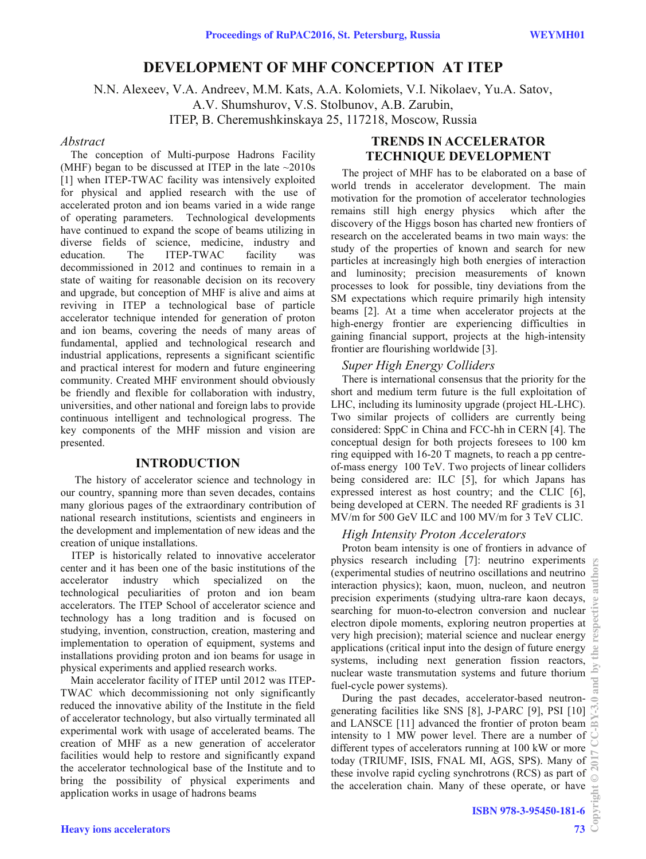# **DEVELOPMENT OF MHF CONCEPTION AT ITEP**

N.N. Alexeev, V.A. Andreev, M.M. Kats, A.A. Kolomiets, V.I. Nikolaev, Yu.A. Satov,

A.V. Shumshurov, V.S. Stolbunov, A.B. Zarubin,

ITEP, B. Cheremushkinskaya 25, 117218, Moscow, Russia

### *Abstract*

The conception of Multi-purpose Hadrons Facility (MHF) began to be discussed at ITEP in the late  $\sim$ 2010s [1] when ITEP-TWAC facility was intensively exploited for physical and applied research with the use of accelerated proton and ion beams varied in a wide range of operating parameters. Technological developments have continued to expand the scope of beams utilizing in diverse fields of science, medicine, industry and education. The ITEP-TWAC facility was decommissioned in 2012 and continues to remain in a state of waiting for reasonable decision on its recovery and upgrade, but conception of MHF is alive and aims at reviving in ITEP a technological base of particle accelerator technique intended for generation of proton and ion beams, covering the needs of many areas of fundamental, applied and technological research and industrial applications, represents a significant scientific and practical interest for modern and future engineering community. Created MHF environment should obviously be friendly and flexible for collaboration with industry, universities, and other national and foreign labs to provide continuous intelligent and technological progress. The key components of the MHF mission and vision are presented.

## **INTRODUCTION**

The history of accelerator science and technology in our country, spanning more than seven decades, contains many glorious pages of the extraordinary contribution of national research institutions, scientists and engineers in the development and implementation of new ideas and the creation of unique installations.

ITEP is historically related to innovative accelerator center and it has been one of the basic institutions of the accelerator industry which specialized on the technological peculiarities of proton and ion beam accelerators. The ITEP School of accelerator science and technology has a long tradition and is focused on studying, invention, construction, creation, mastering and implementation to operation of equipment, systems and installations providing proton and ion beams for usage in physical experiments and applied research works.

Main accelerator facility of ITEP until 2012 was ITEP-TWAC which decommissioning not only significantly reduced the innovative ability of the Institute in the field of accelerator technology, but also virtually terminated all experimental work with usage of accelerated beams. The creation of MHF as a new generation of accelerator facilities would help to restore and significantly expand the accelerator technological base of the Institute and to bring the possibility of physical experiments and application works in usage of hadrons beams

## **TRENDS IN ACCELERATOR TECHNIQUE DEVELOPMENT**

The project of MHF has to be elaborated on a base of world trends in accelerator development. The main motivation for the promotion of accelerator technologies remains still high energy physics which after the discovery of the Higgs boson has charted new frontiers of research on the accelerated beams in two main ways: the study of the properties of known and search for new particles at increasingly high both energies of interaction and luminosity; precision measurements of known processes to look for possible, tiny deviations from the SM expectations which require primarily high intensity beams [2]. At a time when accelerator projects at the high-energy frontier are experiencing difficulties in gaining financial support, projects at the high-intensity frontier are flourishing worldwide [3].

## *Super High Energy Colliders*

There is international consensus that the priority for the short and medium term future is the full exploitation of LHC, including its luminosity upgrade (project HL-LHC). Two similar projects of colliders are currently being considered: SppC in China and FCC-hh in CERN [4]. The conceptual design for both projects foresees to 100 km ring equipped with 16-20 T magnets, to reach a pp centreof-mass energy 100 TeV. Two projects of linear colliders being considered are: ILC [5], for which Japans has expressed interest as host country; and the CLIC [6], being developed at CERN. The needed RF gradients is 31 MV/m for 500 GeV ILC and 100 MV/m for 3 TeV CLIC.

## *High Intensity Proton Accelerators*

Proton beam intensity is one of frontiers in advance of physics research including [7]: neutrino experiments (experimental studies of neutrino oscillations and neutrino interaction physics); kaon, muon, nucleon, and neutron precision experiments (studying ultra-rare kaon decays, searching for muon-to-electron conversion and nuclear electron dipole moments, exploring neutron properties at very high precision); material science and nuclear energy applications (critical input into the design of future energy systems, including next generation fission reactors, nuclear waste transmutation systems and future thorium fuel-cycle power systems).

During the past decades, accelerator-based neutrongenerating facilities like SNS [8], J-PARC [9], PSI [10] and LANSCE [11] advanced the frontier of proton beam intensity to 1 MW power level. There are a number of different types of accelerators running at 100 kW or more today (TRIUMF, ISIS, FNAL MI, AGS, SPS). Many of these involve rapid cycling synchrotrons (RCS) as part of the acceleration chain. Many of these operate, or have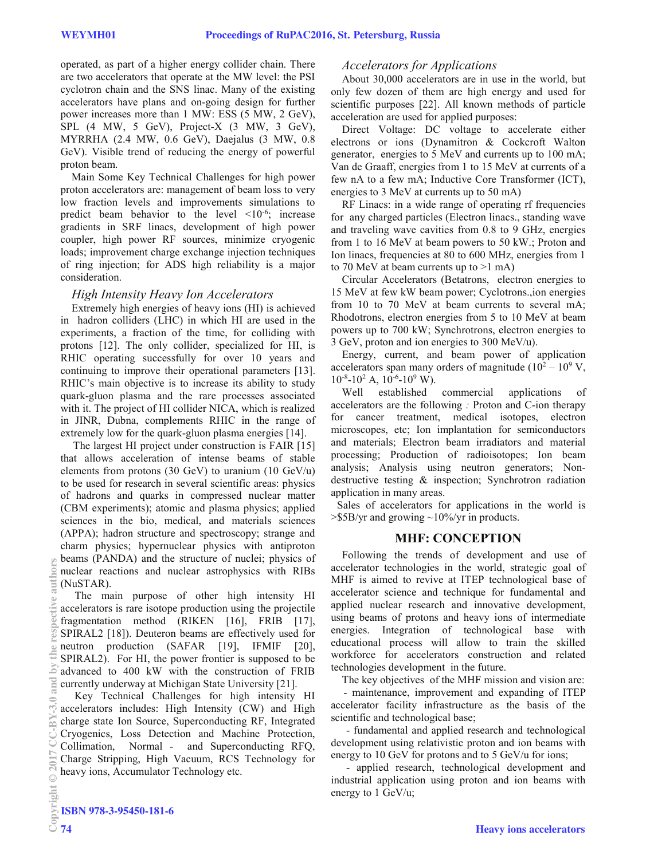operated, as part of a higher energy collider chain. There are two accelerators that operate at the MW level: the PSI cyclotron chain and the SNS linac. Many of the existing accelerators have plans and on-going design for further power increases more than 1 MW: ESS (5 MW, 2 GeV), SPL (4 MW, 5 GeV), Project-X (3 MW, 3 GeV), MYRRHA (2.4 MW, 0.6 GeV), Daejalus (3 MW, 0.8 GeV). Visible trend of reducing the energy of powerful proton beam.

Main Some Key Technical Challenges for high power proton accelerators are: management of beam loss to very low fraction levels and improvements simulations to predict beam behavior to the level  $\leq 10^{-6}$ ; increase gradients in SRF linacs, development of high power coupler, high power RF sources, minimize cryogenic loads; improvement charge exchange injection techniques of ring injection; for ADS high reliability is a major consideration.

## *High Intensity Heavy Ion Accelerators*

Extremely high energies of heavy ions (HI) is achieved in hadron colliders (LHC) in which HI are used in the experiments, a fraction of the time, for colliding with protons [12]. The only collider, specialized for HI, is RHIC operating successfully for over 10 years and continuing to improve their operational parameters [13]. RHIC's main objective is to increase its ability to study quark-gluon plasma and the rare processes associated with it. The project of HI collider NICA, which is realized in JINR, Dubna, complements RHIC in the range of extremely low for the quark-gluon plasma energies [14].

The largest HI project under construction is FAIR [15] that allows acceleration of intense beams of stable elements from protons (30 GeV) to uranium (10 GeV/u) to be used for research in several scientific areas: physics of hadrons and quarks in compressed nuclear matter (CBM experiments); atomic and plasma physics; applied sciences in the bio, medical, and materials sciences (APPA); hadron structure and spectroscopy; strange and charm physics; hypernuclear physics with antiproton beams (PANDA) and the structure of nuclei; physics of nuclear reactions and nuclear astrophysics with RIBs (NuSTAR).

The main purpose of other high intensity HI accelerators is rare isotope production using the projectile fragmentation method (RIKEN [16], FRIB [17], SPIRAL2 [18]). Deuteron beams are effectively used for neutron production (SAFAR [19], IFMIF [20], SPIRAL2). For HI, the power frontier is supposed to be advanced to 400 kW with the construction of FRIB currently underway at Michigan State University [21].

Key Technical Challenges for high intensity HI accelerators includes: High Intensity (CW) and High charge state Ion Source, Superconducting RF, Integrated Cryogenics, Loss Detection and Machine Protection, Collimation, Normal - and Superconducting RFQ, Charge Stripping, High Vacuum, RCS Technology for heavy ions, Accumulator Technology etc. Copyright  $\odot$  2017 CC-BY-3.0 and by the respective authors

## *Accelerators for Applications*

About 30,000 accelerators are in use in the world, but only few dozen of them are high energy and used for scientific purposes [22]. All known methods of particle acceleration are used for applied purposes:

Direct Voltage: DC voltage to accelerate either electrons or ions (Dynamitron & Cockcroft Walton generator, energies to 5 MeV and currents up to 100 mA; Van de Graaff, energies from 1 to 15 MeV at currents of a few nA to a few mA; Inductive Core Transformer (ICT), energies to 3 MeV at currents up to 50 mA)

RF Linacs: in a wide range of operating rf frequencies for any charged particles (Electron linacs., standing wave and traveling wave cavities from 0.8 to 9 GHz, energies from 1 to 16 MeV at beam powers to 50 kW.; Proton and Ion linacs, frequencies at 80 to 600 MHz, energies from 1 to 70 MeV at beam currents up to  $>1$  mA)

Circular Accelerators (Betatrons, electron energies to 15 MeV at few kW beam power; Cyclotrons.,ion energies from 10 to 70 MeV at beam currents to several mA; Rhodotrons, electron energies from 5 to 10 MeV at beam powers up to 700 kW; Synchrotrons, electron energies to 3 GeV, proton and ion energies to 300 MeV/u).

Energy, current, and beam power of application accelerators span many orders of magnitude  $(10^2 - 10^9 \text{ V},$  $10^{-8}$ -10<sup>2</sup> A,  $10^{-6}$ -10<sup>9</sup> W).

Well established commercial applications of accelerators are the following *:* Proton and C-ion therapy for cancer treatment, medical isotopes, electron microscopes, etc; Ion implantation for semiconductors and materials; Electron beam irradiators and material processing; Production of radioisotopes; Ion beam analysis; Analysis using neutron generators; Nondestructive testing & inspection; Synchrotron radiation application in many areas.

Sales of accelerators for applications in the world is  $>$ \$5B/yr and growing  $\sim$ 10%/yr in products.

## **MHF: CONCEPTION**

Following the trends of development and use of accelerator technologies in the world, strategic goal of MHF is aimed to revive at ITEP technological base of accelerator science and technique for fundamental and applied nuclear research and innovative development, using beams of protons and heavy ions of intermediate energies. Integration of technological base with educational process will allow to train the skilled workforce for accelerators construction and related technologies development in the future.

The key objectives of the MHF mission and vision are:

- maintenance, improvement and expanding of ITEP accelerator facility infrastructure as the basis of the scientific and technological base;

- fundamental and applied research and technological development using relativistic proton and ion beams with energy to 10 GeV for protons and to 5 GeV/u for ions;

- applied research, technological development and industrial application using proton and ion beams with energy to 1 GeV/u;

Ë

Ξ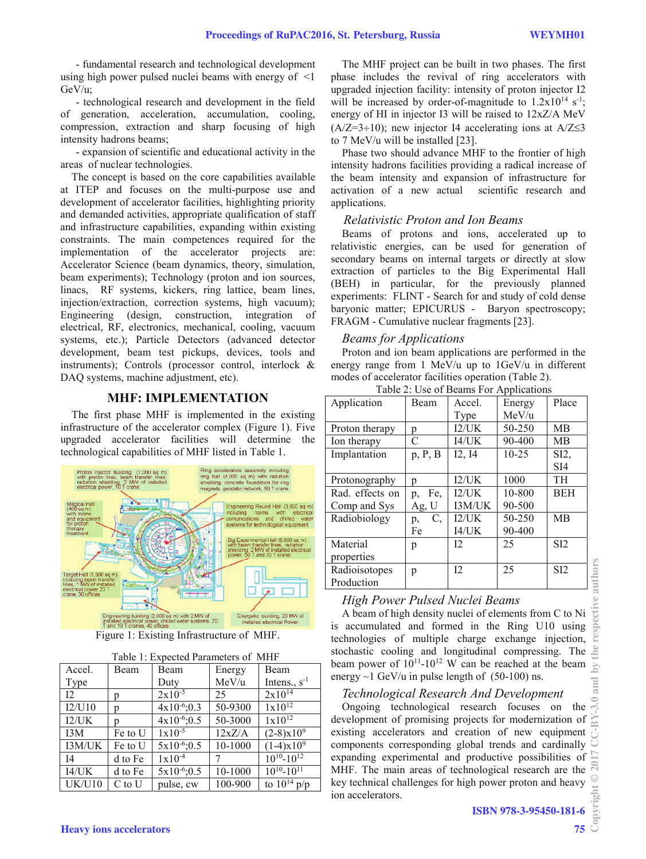- fundamental research and technological development using high power pulsed nuclei beams with energy of  $\leq 1$ GeV/u;

- technological research and development in the field of generation, acceleration, accumulation, cooling, compression, extraction and sharp focusing of high intensity hadrons beams;

- expansion of scientific and educational activity in the areas of nuclear technologies.

The concept is based on the core capabilities available at ITEP and focuses on the multi-purpose use and development of accelerator facilities, highlighting priority and demanded activities, appropriate qualification of staff and infrastructure capabilities, expanding within existing constraints. The main competences required for the implementation of the accelerator projects are: Accelerator Science (beam dynamics, theory, simulation, beam experiments); Technology (proton and ion sources, linacs, RF systems, kickers, ring lattice, beam lines, injection/extraction, correction systems, high vacuum); Engineering (design, construction, integration of electrical, RF, electronics, mechanical, cooling, vacuum systems, etc.); Particle Detectors (advanced detector development, beam test pickups, devices, tools and instruments); Controls (processor control, interlock & DAQ systems, machine adjustment, etc).

## **MHF: IMPLEMENTATION**

The first phase MHF is implemented in the existing infrastructure of the accelerator complex (Figure 1). Five upgraded accelerator facilities will determine the technological capabilities of MHF listed in Table 1.



Figure 1: Existing Infrastructure of MHF.

|  |  | Table 1: Expected Parameters of MHF |  |  |
|--|--|-------------------------------------|--|--|
|--|--|-------------------------------------|--|--|

| Accel.         | Beam       | Beam              | Energy  | Beam                |
|----------------|------------|-------------------|---------|---------------------|
| Type           |            | Duty              | MeV/u   | Intens., $s^{-1}$   |
| 12             | p          | $2x10^{-5}$       | 25      | $2x10^{14}$         |
| I2/U10         | р          | $4x10^{-6}$ ;0.3  | 50-9300 | $1x10^{12}$         |
| I2/UK          | n          | $4x10^{-6}$ ; 0.5 | 50-3000 | $1x10^{12}$         |
| I3M            | Fe to U    | $1x10^{-5}$       | 12xZ/A  | $(2-8)x10^9$        |
| I3M/UK         | Fe to U    | $5x10^{-6}$ ; 0.5 | 10-1000 | $(1-4)x10^9$        |
| I <sub>4</sub> | d to Fe    | $1x10^{-4}$       |         | $10^{10} - 10^{12}$ |
| I4/UK          | d to Fe    | $5x10^{-6}$ ; 0.5 | 10-1000 | $10^{10} - 10^{11}$ |
| UK/U10         | $C$ to $U$ | pulse, cw         | 100-900 | to $10^{14}$ p/p    |

The MHF project can be built in two phases. The first phase includes the revival of ring accelerators with upgraded injection facility: intensity of proton injector I2 will be increased by order-of-magnitude to  $1.2x10^{14}$  s<sup>-1</sup>; energy of HI in injector I3 will be raised to 12xZ/A MeV  $(A/Z=3\div 10)$ ; new injector I4 accelerating ions at A/Z $\leq$ 3 to 7 MeV/u will be installed [23].

Phase two should advance MHF to the frontier of high intensity hadrons facilities providing a radical increase of the beam intensity and expansion of infrastructure for activation of a new actual scientific research and applications.

## *Relativistic Proton and Ion Beams*

Beams of protons and ions, accelerated up to relativistic energies, can be used for generation of secondary beams on internal targets or directly at slow extraction of particles to the Big Experimental Hall (BEH) in particular, for the previously planned experiments: FLINT - Search for and study of cold dense baryonic matter; EPICURUS - Baryon spectroscopy; FRAGM - Cumulative nuclear fragments [23].

#### *Beams for Applications*

Proton and ion beam applications are performed in the energy range from 1 MeV/u up to 1GeV/u in different modes of accelerator facilities operation (Table 2).

| raore 2. Ose of Beams For Tippheations |               |        |            |                  |  |  |  |
|----------------------------------------|---------------|--------|------------|------------------|--|--|--|
| Application                            | Beam          | Accel. | Energy     | Place            |  |  |  |
|                                        |               | Type   | MeV/u      |                  |  |  |  |
| Proton therapy                         | p             | I2/UK  | 50-250     | MB               |  |  |  |
| Ion therapy                            | $\mathcal{C}$ | I4/UK  | 90-400     | MB               |  |  |  |
| Implantation                           | p, P, B       | I2, I4 | $10 - 25$  | SI2,             |  |  |  |
|                                        |               |        |            | SI <sub>4</sub>  |  |  |  |
| Protonography                          | p             | 12/UK  | 1000       | TH               |  |  |  |
| Rad. effects on                        | Fe,<br>p,     | 12/UK  | 10-800     | <b>BEH</b>       |  |  |  |
| Comp and Sys                           | Ag, U         | I3M/UK | 90-500     |                  |  |  |  |
| Radiobiology                           | C,<br>p,      | 12/UK  | $50 - 250$ | MB               |  |  |  |
|                                        | Fe            | I4/UK  | 90-400     |                  |  |  |  |
| Material                               | p             | 12     | 25         | S <sub>I2</sub>  |  |  |  |
| properties                             |               |        |            |                  |  |  |  |
| Radioisotopes                          | p             | 12     | 25         | S <sub>I</sub> 2 |  |  |  |
| Production                             |               |        |            |                  |  |  |  |

## Table 2: Use of Beams For Applications

## *High Power Pulsed Nuclei Beams*

A beam of high density nuclei of elements from C to Ni is accumulated and formed in the Ring U10 using technologies of multiple charge exchange injection, stochastic cooling and longitudinal compressing. The beam power of  $10^{11}$ - $10^{12}$  W can be reached at the beam energy  $\sim$ 1 GeV/u in pulse length of (50-100) ns.

## *Technological Research And Development*

Ongoing technological research focuses on the development of promising projects for modernization of existing accelerators and creation of new equipment components corresponding global trends and cardinally expanding experimental and productive possibilities of MHF. The main areas of technological research are the key technical challenges for high power proton and heavy ion accelerators.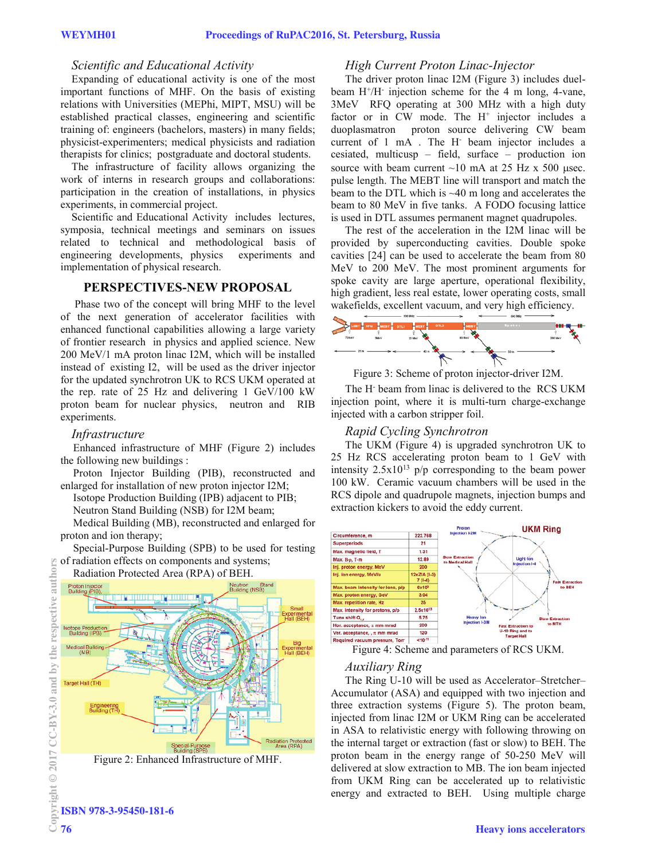#### *Scientific and Educational Activity*

Expanding of educational activity is one of the most important functions of MHF. On the basis of existing relations with Universities (MEPhi, MIPT, MSU) will be established practical classes, engineering and scientific training of: engineers (bachelors, masters) in many fields; physicist-experimenters; medical physicists and radiation therapists for clinics; postgraduate and doctoral students.

The infrastructure of facility allows organizing the work of interns in research groups and collaborations: participation in the creation of installations, in physics experiments, in commercial project.

Scientific and Educational Activity includes lectures, symposia, technical meetings and seminars on issues related to technical and methodological basis of engineering developments, physics experiments and implementation of physical research.

#### **PERSPECTIVES-NEW PROPOSAL**

Phase two of the concept will bring MHF to the level of the next generation of accelerator facilities with enhanced functional capabilities allowing a large variety of frontier research in physics and applied science. New 200 MeV/1 mA proton linac I2M, which will be installed instead of existing I2, will be used as the driver injector for the updated synchrotron UK to RCS UKM operated at the rep. rate of 25 Hz and delivering 1 GeV/100 kW proton beam for nuclear physics, neutron and RIB experiments.

#### *Infrastructure*

Enhanced infrastructure of MHF (Figure 2) includes the following new buildings :

Proton Injector Building (PIB), reconstructed and enlarged for installation of new proton injector I2M;

Isotope Production Building (IPB) adjacent to PIB;

Neutron Stand Building (NSB) for I2M beam;

Medical Building (MB), reconstructed and enlarged for proton and ion therapy;

Special-Purpose Building (SPB) to be used for testing of radiation effects on components and systems;





## *High Current Proton Linac-Injector*

The driver proton linac I2M (Figure 3) includes duelbeam  $H^+/H^-$  injection scheme for the 4 m long, 4-vane, 3MeV RFQ operating at 300 MHz with a high duty factor or in CW mode. The H<sup>+</sup> injector includes a duoplasmatron proton source delivering CW beam current of 1 mA . The H- beam injector includes a cesiated, multicusp – field, surface – production ion source with beam current  $\sim 10$  mA at 25 Hz x 500 usec. pulse length. The MEBT line will transport and match the beam to the DTL which is ~40 m long and accelerates the beam to 80 MeV in five tanks. A FODO focusing lattice is used in DTL assumes permanent magnet quadrupoles.

The rest of the acceleration in the I2M linac will be provided by superconducting cavities. Double spoke cavities [24] can be used to accelerate the beam from 80 MeV to 200 MeV. The most prominent arguments for spoke cavity are large aperture, operational flexibility, high gradient, less real estate, lower operating costs, small wakefields, excellent vacuum, and very high efficiency.



Figure 3: Scheme of proton injector-driver I2M.

The H- beam from linac is delivered to the RCS UKM injection point, where it is multi-turn charge-exchange injected with a carbon stripper foil.

## *Rapid Cycling Synchrotron*

The UKM (Figure 4) is upgraded synchrotron UK to 25 Hz RCS accelerating proton beam to 1 GeV with intensity  $2.5x10^{13}$  p/p corresponding to the beam power 100 kW. Ceramic vacuum chambers will be used in the RCS dipole and quadrupole magnets, injection bumps and extraction kickers to avoid the eddy current.



Figure 4: Scheme and parameters of RCS UKM.

#### *Auxiliary Ring*

The Ring U-10 will be used as Accelerator–Stretcher– Accumulator (ASA) and equipped with two injection and three extraction systems (Figure 5). The proton beam, injected from linac I2M or UKM Ring can be accelerated in ASA to relativistic energy with following throwing on the internal target or extraction (fast or slow) to BEH. The proton beam in the energy range of 50-250 MeV will delivered at slow extraction to MB. The ion beam injected from UKM Ring can be accelerated up to relativistic energy and extracted to BEH. Using multiple charge